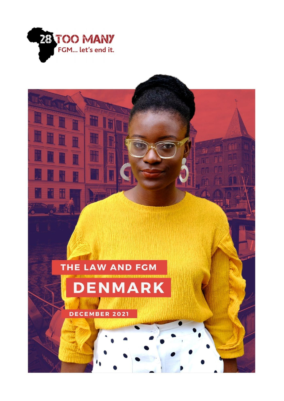

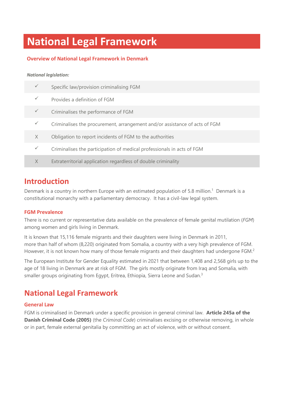# **National Legal Framework**

### **Overview of National Legal Framework in Denmark**

### *National legislation:*

|              | Specific law/provision criminalising FGM                                   |
|--------------|----------------------------------------------------------------------------|
|              | Provides a definition of FGM                                               |
| $\checkmark$ | Criminalises the performance of FGM                                        |
| $\checkmark$ | Criminalises the procurement, arrangement and/or assistance of acts of FGM |
| X            | Obligation to report incidents of FGM to the authorities                   |
| $\checkmark$ | Criminalises the participation of medical professionals in acts of FGM     |
| X            | Extraterritorial application regardless of double criminality              |

### **Introduction**

Denmark is a country in northern Europe with an estimated population of 5.8 million.<sup>1</sup> Denmark is a constitutional monarchy with a parliamentary democracy. It has a civil-law legal system.

### **FGM Prevalence**

There is no current or representative data available on the prevalence of female genital mutilation (*FGM*) among women and girls living in Denmark.

It is known that 15,116 female migrants and their daughters were living in Denmark in 2011, more than half of whom (8,220) originated from Somalia, a country with a very high prevalence of FGM. However, it is not known how many of those female migrants and their daughters had undergone FGM.<sup>2</sup>

The European Institute for Gender Equality estimated in 2021 that between 1,408 and 2,568 girls up to the age of 18 living in Denmark are at risk of FGM. The girls mostly originate from Iraq and Somalia, with smaller groups originating from Egypt, Eritrea, Ethiopia, Sierra Leone and Sudan.<sup>3</sup>

## **National Legal Framework**

### **General Law**

FGM is criminalised in Denmark under a specific provision in general criminal law. **Article 245a of the Danish Criminal Code (2005)** (the *Criminal Code*) criminalises excising or otherwise removing, in whole or in part, female external genitalia by committing an act of violence, with or without consent.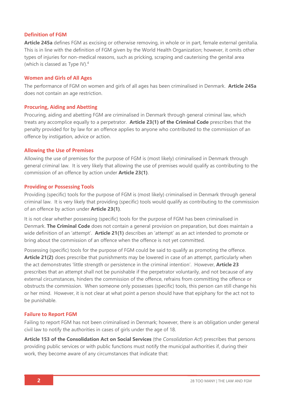### **Definition of FGM**

**Article 245a** defines FGM as excising or otherwise removing, in whole or in part, female external genitalia. This is in line with the definition of FGM given by the World Health Organization; however, it omits other types of injuries for non-medical reasons, such as pricking, scraping and cauterising the genital area (which is classed as Type IV). 4

### **Women and Girls of All Ages**

The performance of FGM on women and girls of all ages has been criminalised in Denmark. **Article 245a** does not contain an age restriction.

### **Procuring, Aiding and Abetting**

Procuring, aiding and abetting FGM are criminalised in Denmark through general criminal law, which treats any accomplice equally to a perpetrator. **Article 23(1) of the Criminal Code** prescribes that the penalty provided for by law for an offence applies to anyone who contributed to the commission of an offence by instigation, advice or action.

### **Allowing the Use of Premises**

Allowing the use of premises for the purpose of FGM is (most likely) criminalised in Denmark through general criminal law. It is very likely that allowing the use of premises would qualify as contributing to the commission of an offence by action under **Article 23(1)**.

### **Providing or Possessing Tools**

Providing (specific) tools for the purpose of FGM is (most likely) criminalised in Denmark through general criminal law. It is very likely that providing (specific) tools would qualify as contributing to the commission of an offence by action under **Article 23(1)**.

It is not clear whether possessing (specific) tools for the purpose of FGM has been criminalised in Denmark. **The Criminal Code** does not contain a general provision on preparation, but does maintain a wide definition of an 'attempt'. **Article 21(1)** describes an 'attempt' as an act intended to promote or bring about the commission of an offence when the offence is not yet committed.

Possessing (specific) tools for the purpose of FGM could be said to qualify as promoting the offence. **Article 21(2)** does prescribe that punishments may be lowered in case of an attempt, particularly when the act demonstrates 'little strength or persistence in the criminal intention'. However, **Article 23** prescribes that an attempt shall not be punishable if the perpetrator voluntarily, and not because of any external circumstances, hinders the commission of the offence, refrains from committing the offence or obstructs the commission. When someone only possesses (specific) tools, this person can still change his or her mind. However, it is not clear at what point a person should have that epiphany for the act not to be punishable.

### **Failure to Report FGM**

Failing to report FGM has not been criminalised in Denmark; however, there is an obligation under general civil law to notify the authorities in cases of girls under the age of 18.

**Article 153 of the Consolidation Act on Social Services** (the *Consolidation Act*) prescribes that persons providing public services or with public functions must notify the municipal authorities if, during their work, they become aware of any circumstances that indicate that: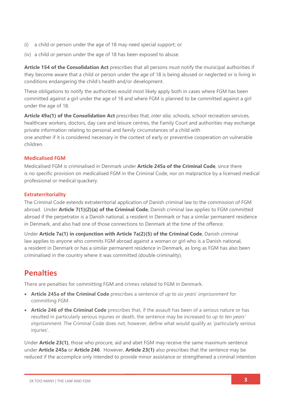- (i) a child or person under the age of 18 may need special support; or
- (iv) a child or person under the age of 18 has been exposed to abuse.

**Article 154 of the Consolidation Act** prescribes that all persons must notify the municipal authorities if they become aware that a child or person under the age of 18 is being abused or neglected or is living in conditions endangering the child's health and/or development.

These obligations to notify the authorities would most likely apply both in cases where FGM has been committed against a girl under the age of 18 and where FGM is planned to be committed against a girl under the age of 18.

**Article 49a(1) of the Consolidation Act** prescribes that, *inter alia*, schools, school recreation services, healthcare workers, doctors, day care and leisure centres, the Family Court and authorities may exchange private information relating to personal and family circumstances of a child with one another if it is considered necessary in the context of early or preventive cooperation on vulnerable children.

### **Medicalised FGM**

Medicalised FGM is criminalised in Denmark under **Article 245a of the Criminal Code**, since there is no specific provision on medicalised FGM in the Criminal Code, nor on malpractice by a licensed medical professional or medical quackery.

### **Extraterritoriality**

The Criminal Code extends extraterritorial application of Danish criminal law to the commission of FGM abroad. Under **Article 7(1)(2)(a) of the Criminal Code**, Danish criminal law applies to FGM committed abroad if the perpetrator is a Danish national, a resident in Denmark or has a similar permanent residence in Denmark, and also had one of those connections to Denmark at the time of the offence.

Under **Article 7a(1) in conjunction with Article 7a(2)(5) of the Criminal Code**, Danish criminal law applies to anyone who commits FGM abroad against a woman or girl who is a Danish national, a resident in Denmark or has a similar permanent residence in Denmark, as long as FGM has also been criminalised in the country where it was committed (double criminality).

### **Penalties**

There are penalties for committing FGM and crimes related to FGM in Denmark.

- **Article 245a of the Criminal Code** prescribes a sentence of *up to six years' imprisonment* for committing FGM.
- **Article 246 of the Criminal Code** prescribes that, if the assault has been of a serious nature or has resulted in particularly serious injuries or death, the sentence may be increased to *up to ten years' imprisonment*. The Criminal Code does not, however, define what would qualify as 'particularly serious injuries'.

Under **Article 23(1)**, those who procure, aid and abet FGM may receive the same maximum sentence under **Article 245a** or **Article 246**. However, **Article 23(1)** also prescribes that the sentence may be reduced if the accomplice only intended to provide minor assistance or strengthened a criminal intention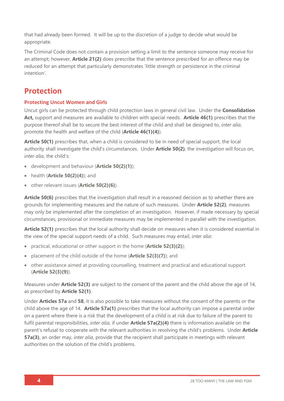that had already been formed. It will be up to the discretion of a judge to decide what would be appropriate.

The Criminal Code does not contain a provision setting a limit to the sentence someone may receive for an attempt; however, **Article 21(2)** does prescribe that the sentence prescribed for an offence may be reduced for an attempt that particularly demonstrates 'little strength or persistence in the criminal intention'.

## **Protection**

### **Protecting Uncut Women and Girls**

Uncut girls can be protected through child protection laws in general civil law. Under the **Consolidation Act,** support and measures are available to children with special needs. **Article 46(1)** prescribes that the purpose thereof shall be to secure the best interest of the child and shall be designed to, *inter alia*, promote the health and welfare of the child (**Article 46(1)(4)**).

**Article 50(1)** prescribes that, when a child is considered to be in need of special support, the local authority shall investigate the child's circumstances. Under **Article 50(2)**, the investigation will focus on, *inter alia*, the child's:

- development and behaviour (**Article 50(2)(1)**);
- health (**Article 50(2)(4)**); and
- other relevant issues (**Article 50(2)(6)**).

**Article 50(6)** prescribes that the investigation shall result in a reasoned decision as to whether there are grounds for implementing measures and the nature of such measures. Under **Article 52(2)**, measures may only be implemented after the completion of an investigation. However, if made necessary by special circumstances, provisional or immediate measures may be implemented in parallel with the investigation.

**Article 52(1)** prescribes that the local authority shall decide on measures when it is considered essential in the view of the special support needs of a child. Such measures may entail, *inter alia*:

- practical, educational or other support in the home (**Article 52(3)(2)**);
- placement of the child outside of the home (**Article 52(3)(7)**); and
- other assistance aimed at providing counselling, treatment and practical and educational support (**Article 52(3)(9)**).

Measures under **Article 52(3)** are subject to the consent of the parent and the child above the age of 14, as prescribed by **Article 52(1)**.

Under **Articles 57a** and **58**, it is also possible to take measures without the consent of the parents or the child above the age of 14. **Article 57a(1)** prescribes that the local authority can impose a parental order on a parent where there is a risk that the development of a child is at risk due to failure of the parent to fulfil parental responsibilities, *inter alia*, if under **Article 57a(2)(4)** there is information available on the parent's refusal to cooperate with the relevant authorities in resolving the child's problems. Under **Article 57a(3)**, an order may, *inter alia*, provide that the recipient shall participate in meetings with relevant authorities on the solution of the child's problems.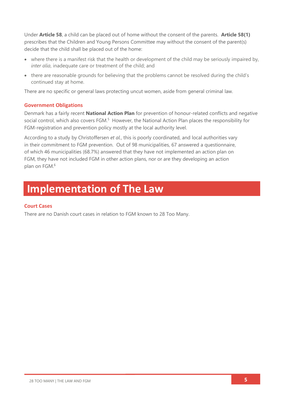Under **Article 58**, a child can be placed out of home without the consent of the parents. **Article 58(1)** prescribes that the Children and Young Persons Committee may without the consent of the parent(s) decide that the child shall be placed out of the home:

- where there is a manifest risk that the health or development of the child may be seriously impaired by, *inter alia*, inadequate care or treatment of the child; and
- there are reasonable grounds for believing that the problems cannot be resolved during the child's continued stay at home.

There are no specific or general laws protecting uncut women, aside from general criminal law.

### **Government Obligations**

Denmark has a fairly recent **National Action Plan** for prevention of honour-related conflicts and negative social control, which also covers FGM.<sup>5</sup> However, the National Action Plan places the responsibility for FGM-registration and prevention policy mostly at the local authority level.

According to a study by Christoffersen *et al.*, this is poorly coordinated, and local authorities vary in their commitment to FGM prevention. Out of 98 municipalities, 67 answered a questionnaire, of which 46 municipalities (68.7%) answered that they have not implemented an action plan on FGM, they have not included FGM in other action plans, nor or are they developing an action plan on FGM. 6

## **Implementation of The Law**

### **Court Cases**

There are no Danish court cases in relation to FGM known to 28 Too Many.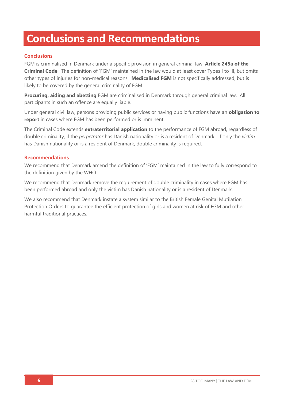## **Conclusions and Recommendations**

### **Conclusions**

FGM is criminalised in Denmark under a specific provision in general criminal law, **Article 245a of the Criminal Code**. The definition of 'FGM' maintained in the law would at least cover Types I to III, but omits other types of injuries for non-medical reasons. **Medicalised FGM** is not specifically addressed, but is likely to be covered by the general criminality of FGM.

**Procuring, aiding and abetting** FGM are criminalised in Denmark through general criminal law. All participants in such an offence are equally liable.

Under general civil law, persons providing public services or having public functions have an **obligation to report** in cases where FGM has been performed or is imminent.

The Criminal Code extends **extraterritorial application** to the performance of FGM abroad, regardless of double criminality, if the *perpetrator* has Danish nationality or is a resident of Denmark. If only the *victim* has Danish nationality or is a resident of Denmark, double criminality is required.

### **Recommendations**

We recommend that Denmark amend the definition of 'FGM' maintained in the law to fully correspond to the definition given by the WHO.

We recommend that Denmark remove the requirement of double criminality in cases where FGM has been performed abroad and only the victim has Danish nationality or is a resident of Denmark.

We also recommend that Denmark instate a system similar to the British Female Genital Mutilation Protection Orders to guarantee the efficient protection of girls and women at risk of FGM and other harmful traditional practices.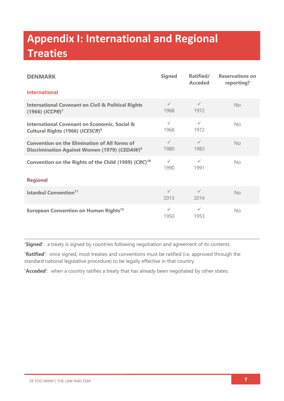# **Appendix I: International and Regional Treaties**

| <b>DENMARK</b>                                                                                                   | <b>Signed</b>        | Ratified/<br><b>Acceded</b> | <b>Reservations on</b><br>reporting? |  |  |
|------------------------------------------------------------------------------------------------------------------|----------------------|-----------------------------|--------------------------------------|--|--|
| <b>International</b>                                                                                             |                      |                             |                                      |  |  |
| <b>International Covenant on Civil &amp; Political Rights</b><br>$(1966)$ $(ICCPR)^7$                            | $\checkmark$<br>1968 | $\checkmark$<br>1972        | <b>No</b>                            |  |  |
| <b>International Covenant on Economic, Social &amp;</b><br>Cultural Rights (1966) (ICESCR) <sup>8</sup>          | $\checkmark$<br>1968 | $\checkmark$<br>1972        | <b>No</b>                            |  |  |
| <b>Convention on the Elimination of All forms of</b><br>Discrimination Against Women (1979) (CEDAW) <sup>9</sup> | $\checkmark$<br>1980 | $\checkmark$<br>1983        | No                                   |  |  |
| Convention on the Rights of the Child (1989) (CRC) <sup>10</sup>                                                 | $\checkmark$<br>1990 | $\checkmark$<br>1991        | No                                   |  |  |
| <b>Regional</b>                                                                                                  |                      |                             |                                      |  |  |
| <b>Istanbul Convention<sup>11</sup></b>                                                                          | $\checkmark$<br>2013 | $\checkmark$<br>2014        | No                                   |  |  |
| European Convention on Human Rights <sup>12</sup>                                                                | $\checkmark$<br>1950 | $\checkmark$<br>1953        | No.                                  |  |  |

**'Signed'**: a treaty is signed by countries following negotiation and agreement of its contents.

**'Ratified'**: once signed, most treaties and conventions must be ratified (i.e. approved through the standard national legislative procedure) to be legally effective in that country.

**'Acceded'**: when a country ratifies a treaty that has already been negotiated by other states.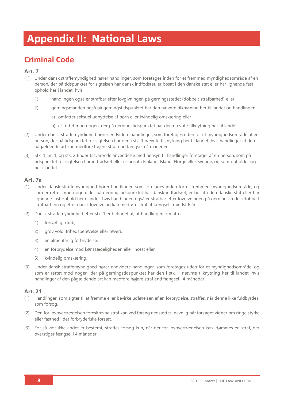# **Appendix II: National Laws**

## **Criminal Code**

### **Art. 7**

- (1) Under dansk straffemyndighed hører handlinger, som foretages inden for et fremmed myndighedsområde af en person, der på tidspunktet for sigtelsen har dansk indfødsret, er bosat i den danske stat eller har lignende fast ophold her i landet, hvis
	- 1) handlingen også er strafbar efter lovgivningen på gerningsstedet (dobbelt strafbarhed) eller
	- 2) gerningsmanden også på gerningstidspunktet har den nævnte tilknytning her til landet og handlingen
		- a) omfatter seksuel udnyttelse af børn eller kvindelig omskæring eller
		- b) er rettet mod nogen, der på gerningstidspunktet har den nævnte tilknytning her til landet.
- (2) Under dansk straffemyndighed hører endvidere handlinger, som foretages uden for et myndighedsområde af en person, der på tidspunktet for sigtelsen har den i stk. 1 nævnte tilknytning her til landet, hvis handlinger af den pågældende art kan medføre højere straf end fængsel i 4 måneder.
- (3) Stk. 1, nr. 1, og stk. 2 finder tilsvarende anvendelse med hensyn til handlinger foretaget af en person, som på tidspunktet for sigtelsen har indfødsret eller er bosat i Finland, Island, Norge eller Sverige, og som opholder sig her i landet.

### **Art. 7a**

- (1) Under dansk straffemyndighed hører handlinger, som foretages inden for et fremmed myndighedsområde, og som er rettet mod nogen, der på gerningstidspunktet har dansk indfødsret, er bosat i den danske stat eller har lignende fast ophold her i landet, hvis handlingen også er strafbar efter lovgivningen på gerningsstedet (dobbelt strafbarhed) og efter dansk lovgivning kan medføre straf af fængsel i mindst 6 år.
- (2) Dansk straffemyndighed efter stk. 1 er betinget af, at handlingen omfatter
	- 1) forsætligt drab,
	- 2) grov vold, frihedsberøvelse eller røveri,
	- 3) en almenfarlig forbrydelse,
	- 4) en forbrydelse mod kønssædeligheden eller incest eller
	- 5) kvindelig omskæring.
- (3) Under dansk straffemyndighed hører endvidere handlinger, som foretages uden for et myndighedsområde, og som er rettet mod nogen, der på gerningstidspunktet har den i stk. 1 nævnte tilknytning her til landet, hvis handlinger af den pågældende art kan medføre højere straf end fængsel i 4 måneder.

- (1) Handlinger, som sigter til at fremme eller bevirke udførelsen af en forbrydelse, straffes, når denne ikke fuldbyrdes, som forsøg.
- (2) Den for lovovertrædelsen foreskrevne straf kan ved forsøg nedsættes, navnlig når forsøget vidner om ringe styrke eller fasthed i det forbryderiske forsæt.
- (3) For så vidt ikke andet er bestemt, straffes forsøg kun, når der for lovovertrædelsen kan idømmes en straf, der overstiger fængsel i 4 måneder.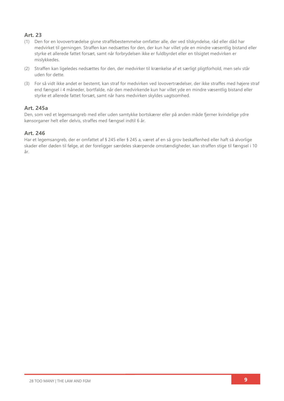### **Art. 23**

- (1) Den for en lovovertrædelse givne straffebestemmelse omfatter alle, der ved tilskyndelse, råd eller dåd har medvirket til gerningen. Straffen kan nedsættes for den, der kun har villet yde en mindre væsentlig bistand eller styrke et allerede fattet forsæt, samt når forbrydelsen ikke er fuldbyrdet eller en tilsigtet medvirken er mislykkedes.
- (2) Straffen kan ligeledes nedsættes for den, der medvirker til krænkelse af et særligt pligtforhold, men selv står uden for dette.
- (3) For så vidt ikke andet er bestemt, kan straf for medvirken ved lovovertrædelser, der ikke straffes med højere straf end fængsel i 4 måneder, bortfalde, når den medvirkende kun har villet yde en mindre væsentlig bistand eller styrke et allerede fattet forsæt, samt når hans medvirken skyldes uagtsomhed.

### **Art. 245a**

Den, som ved et legemsangreb med eller uden samtykke bortskærer eller på anden måde fjerner kvindelige ydre kønsorganer helt eller delvis, straffes med fængsel indtil 6 år.

### **Art. 246**

Har et legemsangreb, der er omfattet af § 245 eller § 245 a, været af en så grov beskaffenhed eller haft så alvorlige skader eller døden til følge, at der foreligger særdeles skærpende omstændigheder, kan straffen stige til fængsel i 10 år.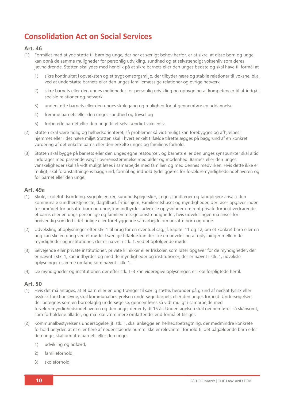## **Consolidation Act on Social Services**

### **Art. 46**

- (1) Formålet med at yde støtte til børn og unge, der har et særligt behov herfor, er at sikre, at disse børn og unge kan opnå de samme muligheder for personlig udvikling, sundhed og et selvstændigt voksenliv som deres jævnaldrende. Støtten skal ydes med henblik på at sikre barnets eller den unges bedste og skal have til formål at
	- 1) sikre kontinuitet i opvæksten og et trygt omsorgsmiljø, der tilbyder nære og stabile relationer til voksne, bl.a. ved at understøtte barnets eller den unges familiemæssige relationer og øvrige netværk,
	- 2) sikre barnets eller den unges muligheder for personlig udvikling og opbygning af kompetencer til at indgå i sociale relationer og netværk,
	- 3) understøtte barnets eller den unges skolegang og mulighed for at gennemføre en uddannelse,
	- 4) fremme barnets eller den unges sundhed og trivsel og
	- 5) forberede barnet eller den unge til et selvstændigt voksenliv.
- (2) Støtten skal være tidlig og helhedsorienteret, så problemer så vidt muligt kan forebygges og afhjælpes i hjemmet eller i det nære miljø. Støtten skal i hvert enkelt tilfælde tilrettelægges på baggrund af en konkret vurdering af det enkelte barns eller den enkelte unges og familiens forhold.
- (3) Støtten skal bygge på barnets eller den unges egne ressourcer, og barnets eller den unges synspunkter skal altid inddrages med passende vægt i overensstemmelse med alder og modenhed. Barnets eller den unges vanskeligheder skal så vidt muligt løses i samarbejde med familien og med dennes medvirken. Hvis dette ikke er muligt, skal foranstaltningens baggrund, formål og indhold tydeliggøres for forældremyndighedsindehaveren og for barnet eller den unge.

### **Art. 49a**

- (1) Skole, skolefritidsordning, sygeplejersker, sundhedsplejersker, læger, tandlæger og tandplejere ansat i den kommunale sundhedstjeneste, dagtilbud, fritidshjem, Familieretshuset og myndigheder, der løser opgaver inden for området for udsatte børn og unge, kan indbyrdes udveksle oplysninger om rent private forhold vedrørende et barns eller en ungs personlige og familiemæssige omstændigheder, hvis udvekslingen må anses for nødvendig som led i det tidlige eller forebyggende samarbejde om udsatte børn og unge.
- (2) Udveksling af oplysninger efter stk. 1 til brug for en eventuel sag, jf. kapitel 11 og 12, om et konkret barn eller en ung kan ske én gang ved et møde. I særlige tilfælde kan der ske en udveksling af oplysninger mellem de myndigheder og institutioner, der er nævnt i stk. 1, ved et opfølgende møde.
- (3) Selvejende eller private institutioner, private klinikker eller friskoler, som løser opgaver for de myndigheder, der er nævnt i stk. 1, kan indbyrdes og med de myndigheder og institutioner, der er nævnt i stk. 1, udveksle oplysninger i samme omfang som nævnt i stk. 1.
- (4) De myndigheder og institutioner, der efter stk. 1-3 kan videregive oplysninger, er ikke forpligtede hertil.

- (1) Hvis det må antages, at et barn eller en ung trænger til særlig støtte, herunder på grund af nedsat fysisk eller psykisk funktionsevne, skal kommunalbestyrelsen undersøge barnets eller den unges forhold. Undersøgelsen, der betegnes som en børnefaglig undersøgelse, gennemføres så vidt muligt i samarbejde med forældremyndighedsindehaveren og den unge, der er fyldt 15 år. Undersøgelsen skal gennemføres så skånsomt, som forholdene tillader, og må ikke være mere omfattende, end formålet tilsiger.
- (2) Kommunalbestyrelsens undersøgelse, jf. stk. 1, skal anlægge en helhedsbetragtning, der medmindre konkrete forhold betyder, at et eller flere af nedenstående numre ikke er relevante i forhold til det pågældende barn eller den unge, skal omfatte barnets eller den unges
	- 1) udvikling og adfærd,
	- 2) familieforhold,
	- 3) skoleforhold,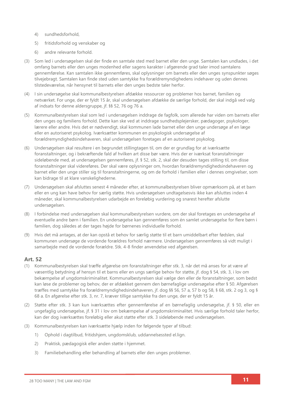- 4) sundhedsforhold,
- 5) fritidsforhold og venskaber og
- 6) andre relevante forhold.
- (3) Som led i undersøgelsen skal der finde en samtale sted med barnet eller den unge. Samtalen kan undlades, i det omfang barnets eller den unges modenhed eller sagens karakter i afgørende grad taler imod samtalens gennemførelse. Kan samtalen ikke gennemføres, skal oplysninger om barnets eller den unges synspunkter søges tilvejebragt. Samtalen kan finde sted uden samtykke fra forældremyndighedens indehaver og uden dennes tilstedeværelse, når hensynet til barnets eller den unges bedste taler herfor.
- (4) I sin undersøgelse skal kommunalbestyrelsen afdække ressourcer og problemer hos barnet, familien og netværket. For unge, der er fyldt 15 år, skal undersøgelsen afdække de særlige forhold, der skal indgå ved valg af indsats for denne aldersgruppe, jf. §§ 52, 76 og 76 a.
- (5) Kommunalbestyrelsen skal som led i undersøgelsen inddrage de fagfolk, som allerede har viden om barnets eller den unges og familiens forhold. Dette kan ske ved at inddrage sundhedsplejersker, pædagoger, psykologer, lærere eller andre. Hvis det er nødvendigt, skal kommunen lade barnet eller den unge undersøge af en læge eller en autoriseret psykolog. Iværksætter kommunen en psykologisk undersøgelse af forældremyndighedsindehaveren, skal undersøgelsen foretages af en autoriseret psykolog.
- (6) Undersøgelsen skal resultere i en begrundet stillingtagen til, om der er grundlag for at iværksætte foranstaltninger, og i bekræftende fald af hvilken art disse bør være. Hvis der er iværksat foranstaltninger sideløbende med, at undersøgelsen gennemføres, jf. § 52, stk. 2, skal der desuden tages stilling til, om disse foranstaltninger skal videreføres. Der skal være oplysninger om, hvordan forældremyndighedsindehaveren og barnet eller den unge stiller sig til foranstaltningerne, og om de forhold i familien eller i dennes omgivelser, som kan bidrage til at klare vanskelighederne.
- (7) Undersøgelsen skal afsluttes senest 4 måneder efter, at kommunalbestyrelsen bliver opmærksom på, at et barn eller en ung kan have behov for særlig støtte. Hvis undersøgelsen undtagelsesvis ikke kan afsluttes inden 4 måneder, skal kommunalbestyrelsen udarbejde en foreløbig vurdering og snarest herefter afslutte undersøgelsen.
- (8) I forbindelse med undersøgelsen skal kommunalbestyrelsen vurdere, om der skal foretages en undersøgelse af eventuelle andre børn i familien. En undersøgelse kan gennemføres som én samlet undersøgelse for flere børn i familien, dog således at der tages højde for børnenes individuelle forhold.
- (9) Hvis det må antages, at der kan opstå et behov for særlig støtte til et barn umiddelbart efter fødslen, skal kommunen undersøge de vordende forældres forhold nærmere. Undersøgelsen gennemføres så vidt muligt i samarbejde med de vordende forældre. Stk. 4-8 finder anvendelse ved afgørelsen.

- (1) Kommunalbestyrelsen skal træffe afgørelse om foranstaltninger efter stk. 3, når det må anses for at være af væsentlig betydning af hensyn til et barns eller en ungs særlige behov for støtte, jf. dog § 54, stk. 3, i lov om bekæmpelse af ungdomskriminalitet. Kommunalbestyrelsen skal vælge den eller de foranstaltninger, som bedst kan løse de problemer og behov, der er afdækket gennem den børnefaglige undersøgelse efter § 50. Afgørelsen træffes med samtykke fra forældremyndighedsindehaveren, jf. dog §§ 56, 57 a, 57 b og 58, § 68, stk. 2 og 3, og § 68 a. En afgørelse efter stk. 3, nr. 7, kræver tillige samtykke fra den unge, der er fyldt 15 år.
- (2) Støtte efter stk. 3 kan kun iværksættes efter gennemførelse af en børnefaglig undersøgelse, jf. § 50, eller en ungefaglig undersøgelse, jf. § 31 i lov om bekæmpelse af ungdomskriminalitet. Hvis særlige forhold taler herfor, kan der dog iværksættes foreløbig eller akut støtte efter stk. 3 sideløbende med undersøgelsen.
- (3) Kommunalbestyrelsen kan iværksætte hjælp inden for følgende typer af tilbud:
	- 1) Ophold i dagtilbud, fritidshjem, ungdomsklub, uddannelsessted el.lign.
	- 2) Praktisk, pædagogisk eller anden støtte i hjemmet.
	- 3) Familiebehandling eller behandling af barnets eller den unges problemer.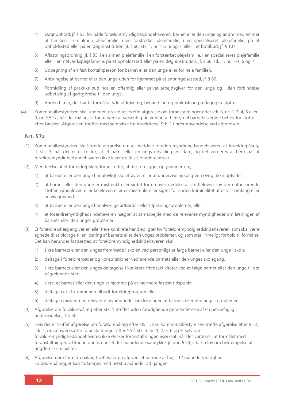- 4) Døgnophold, jf. § 55, for både forældremyndighedsindehaveren, barnet eller den unge og andre medlemmer af familien i en almen plejefamilie, i en forstærket plejefamilie, i en specialiseret plejefamilie, på et opholdssted eller på en døgninstitution, jf. § 66, stk. 1, nr. 1-3, 6 og 7, eller i et botilbud, jf. § 107.
- 5) Aflastningsordning, jf. § 55, i en almen plejefamilie, i en forstærket plejefamilie, i en specialiseret plejefamilie eller i en netværksplejefamilie, på et opholdssted eller på en døgninstitution, jf. § 66, stk. 1, nr. 1-4, 6 og 7.
- 6) Udpegning af en fast kontaktperson for barnet eller den unge eller for hele familien.
- 7) Anbringelse af barnet eller den unge uden for hjemmet på et anbringelsessted, jf. § 66.
- 8) Formidling af praktiktilbud hos en offentlig eller privat arbejdsgiver for den unge og i den forbindelse udbetaling af godtgørelse til den unge.
- 9) Anden hjælp, der har til formål at yde rådgivning, behandling og praktisk og pædagogisk støtte.
- (4) Kommunalbestyrelsen skal under en graviditet træffe afgørelse om foranstaltninger efter stk. 3, nr. 2, 3, 4, 6 eller 9, og § 52 a, når det må anses for at være af væsentlig betydning af hensyn til barnets særlige behov for støtte efter fødslen. Afgørelsen træffes med samtykke fra forældrene. Stk. 2 finder anvendelse ved afgørelsen.

### **Art. 57a**

- (1) Kommunalbestyrelsen skal træffe afgørelse om at meddele forældremyndighedsindehaveren et forældrepålæg, jf. stk. 3, når der er risiko for, at et barns eller en ungs udvikling er i fare, og det vurderes at bero på, at forældremyndighedsindehaveren ikke lever op til sit forældreansvar.
- (2) Meddelelse af et forældrepålæg forudsætter, at der foreligger oplysninger om,
	- 1) at barnet eller den unge har ulovligt skolefravær, eller at undervisningspligten i øvrigt ikke opfyldes,
	- 2) at barnet eller den unge er mistænkt eller sigtet for en overtrædelse af straffeloven, lov om euforiserende stoffer, våbenloven eller knivloven eller er mistænkt eller sigtet for anden kriminalitet af et vist omfang eller en vis grovhed,
	- 3) at barnet eller den unge har alvorlige adfærds- eller tilpasningsproblemer, eller
	- 4) at forældremyndighedsindehaveren nægter at samarbejde med de relevante myndigheder om løsningen af barnets eller den unges problemer.
- (3) Et forældrepålæg angiver en eller flere konkrete handlepligter for forældremyndighedsindehaveren, som skal være egnede til at bidrage til en løsning af barnets eller den unges problemer, og som står i rimeligt forhold til formålet. Det kan herunder fastsættes, at forældremyndighedsindehaveren skal
	- 1) sikre barnets eller den unges fremmøde i skolen ved personligt at følge barnet eller den unge i skole,
	- 2) deltage i forældremøder og konsultationer vedrørende barnets eller den unges skolegang,
	- 3) sikre barnets eller den unges deltagelse i konkrete fritidsaktiviteter ved at følge barnet eller den unge til det pågældende sted,
	- 4) sikre, at barnet eller den unge er hjemme på et nærmere fastsat tidspunkt,
	- 5) deltage i et af kommunen tilbudt forældreprogram eller
	- 6) deltage i møder med relevante myndigheder om løsningen af barnets eller den unges problemer.
- (4) Afgørelse om forældrepålæg efter stk. 1 træffes uden forudgående gennemførelse af en børnefaglig undersøgelse, jf. § 50.
- (5) Hvis der er truffet afgørelse om forældrepålæg efter stk. 1, kan kommunalbestyrelsen træffe afgørelse efter § 52, stk. 1, om at iværksætte foranstaltninger efter § 52, stk. 3, nr. 1, 2, 3, 6 og 9, selv om forældremyndighedsindehaveren ikke ønsker foranstaltningen iværksat, når det vurderes, at formålet med foranstaltningen vil kunne opnås uanset det manglende samtykke, jf. dog § 54, stk. 3, i lov om bekæmpelse af ungdomskriminalitet.
- (6) Afgørelsen om forældrepålæg træffes for en afgrænset periode af højst 12 måneders varighed. Forældrepålægget kan forlænges med højst 6 måneder ad gangen.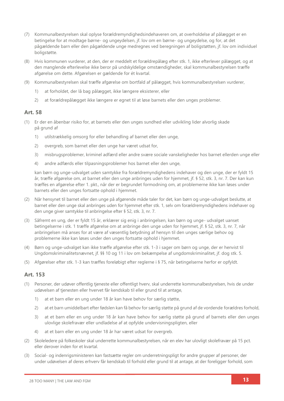- (7) Kommunalbestyrelsen skal oplyse forældremyndighedsindehaveren om, at overholdelse af pålægget er en betingelse for at modtage børne- og ungeydelsen, jf. lov om en børne- og ungeydelse, og for, at det pågældende barn eller den pågældende unge medregnes ved beregningen af boligstøtten, jf. lov om individuel boligstøtte.
- (8) Hvis kommunen vurderer, at den, der er meddelt et forældrepålæg efter stk. 1, ikke efterlever pålægget, og at den manglende efterlevelse ikke beror på undskyldelige omstændigheder, skal kommunalbestyrelsen træffe afgørelse om dette. Afgørelsen er gældende for ét kvartal.
- (9) Kommunalbestyrelsen skal træffe afgørelse om bortfald af pålægget, hvis kommunalbestyrelsen vurderer,
	- 1) at forholdet, der lå bag pålægget, ikke længere eksisterer, eller
	- 2) at forældrepålægget ikke længere er egnet til at løse barnets eller den unges problemer.

### **Art. 58**

- (1) Er der en åbenbar risiko for, at barnets eller den unges sundhed eller udvikling lider alvorlig skade på grund af
	- 1) utilstrækkelig omsorg for eller behandling af barnet eller den unge,
	- 2) overgreb, som barnet eller den unge har været udsat for,
	- 3) misbrugsproblemer, kriminel adfærd eller andre svære sociale vanskeligheder hos barnet ellerden unge eller
	- 4) andre adfærds eller tilpasningsproblemer hos barnet eller den unge,

kan børn og unge-udvalget uden samtykke fra forældremyndighedens indehaver og den unge, der er fyldt 15 år, træffe afgørelse om, at barnet eller den unge anbringes uden for hjemmet, jf. § 52, stk. 3, nr. 7. Der kan kun træffes en afgørelse efter 1. pkt., når der er begrundet formodning om, at problemerne ikke kan løses under barnets eller den unges fortsatte ophold i hjemmet.

- (2) Når hensynet til barnet eller den unge på afgørende måde taler for det, kan børn og unge-udvalget beslutte, at barnet eller den unge skal anbringes uden for hjemmet efter stk. 1, selv om forældremyndighedens indehaver og den unge giver samtykke til anbringelse efter § 52, stk. 3, nr. 7.
- (3) Såfremt en ung, der er fyldt 15 år, erklærer sig enig i anbringelsen, kan børn og unge- udvalget uanset betingelserne i stk. 1 træffe afgørelse om at anbringe den unge uden for hjemmet, jf. § 52, stk. 3, nr. 7, når anbringelsen må anses for at være af væsentlig betydning af hensyn til den unges særlige behov og problemerne ikke kan løses under den unges fortsatte ophold i hjemmet.
- (4) Børn og unge-udvalget kan ikke træffe afgørelse efter stk. 1-3 i sager om børn og unge, der er henvist til Ungdomskriminalitetsnævnet, jf. §§ 10 og 11 i lov om bekæmpelse af ungdomskriminalitet, jf. dog stk. 5.
- (5) Afgørelser efter stk. 1-3 kan træffes foreløbigt efter reglerne i § 75, når betingelserne herfor er opfyldt.

- (1) Personer, der udøver offentlig tjeneste eller offentligt hverv, skal underrette kommunalbestyrelsen, hvis de under udøvelsen af tjenesten eller hvervet får kendskab til eller grund til at antage,
	- 1) at et barn eller en ung under 18 år kan have behov for særlig støtte,
	- 2) at et barn umiddelbart efter fødslen kan få behov for særlig støtte på grund af de vordende forældres forhold,
	- 3) at et barn eller en ung under 18 år kan have behov for særlig støtte på grund af barnets eller den unges ulovlige skolefravær eller undladelse af at opfylde undervisningspligten, eller
	- 4) at et barn eller en ung under 18 år har været udsat for overgreb.
- (2) Skoleledere på folkeskoler skal underrette kommunalbestyrelsen, når en elev har ulovligt skolefravær på 15 pct. eller derover inden for et kvartal.
- (3) Social- og indenrigsministeren kan fastsætte regler om underretningspligt for andre grupper af personer, der under udøvelsen af deres erhverv får kendskab til forhold eller grund til at antage, at der foreligger forhold, som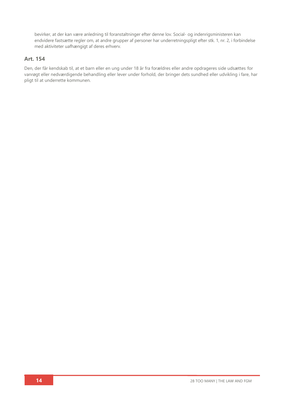bevirker, at der kan være anledning til foranstaltninger efter denne lov. Social- og indenrigsministeren kan endvidere fastsætte regler om, at andre grupper af personer har underretningspligt efter stk. 1, nr. 2, i forbindelse med aktiviteter uafhængigt af deres erhverv.

### **Art. 154**

Den, der får kendskab til, at et barn eller en ung under 18 år fra forældres eller andre opdrageres side udsættes for vanrøgt eller nedværdigende behandling eller lever under forhold, der bringer dets sundhed eller udvikling i fare, har pligt til at underrette kommunen.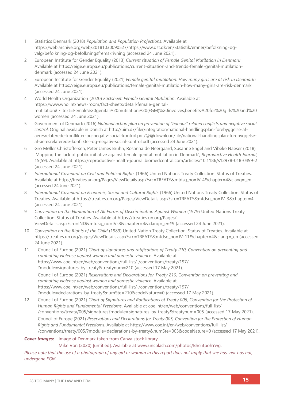- 1 Statistics Denmark (2018) *Population and Population Projections*. Available at [https://web.archive.org/web/20181030090527/https://www.dst.dk/en/Statistik/emner/befolkning-og](https://web.archive.org/web/20181030090527/https:/www.dst.dk/en/Statistik/emner/befolkning-og-valg/befolkning-og-befolkningsfremskrivning)[valg/befolkning-og-befolkningsfremskrivning](https://web.archive.org/web/20181030090527/https:/www.dst.dk/en/Statistik/emner/befolkning-og-valg/befolkning-og-befolkningsfremskrivning) (accessed 24 June 2021).
- 2 European Institute for Gender Equality (2013) *Current situation of Female Genital Mutilation in Denmark*. Available at [https://eige.europa.eu/publications/current-situation-and-trends-female-genital-mutilation](https://eige.europa.eu/publications/current-situation-and-trends-female-genital-mutilation-denmark)[denmark](https://eige.europa.eu/publications/current-situation-and-trends-female-genital-mutilation-denmark) (accessed 24 June 2021).
- 3 European Institute for Gender Equality (2021) *Female genital mutilation: How many girls are at risk in Denmark*? Available at<https://eige.europa.eu/publications/female-genital-mutilation-how-many-girls-are-risk-denmark> (accessed 24 June 2021).
- 4 World Health Organization (2020) *Factsheet: Female Genital Mutilation*. Available at [https://www.who.int/news-room/fact-sheets/detail/female-genital](https://www.who.int/news-room/fact-sheets/detail/female-genital-mutilation#:~:text=Female%20genital%20mutilation%20(FGM)%20involves,benefits%20for%20girls%20and%20women)[mutilation#:~:text=Female%20genital%20mutilation%20\(FGM\)%20involves,benefits%20for%20girls%20and%20](https://www.who.int/news-room/fact-sheets/detail/female-genital-mutilation#:~:text=Female%20genital%20mutilation%20(FGM)%20involves,benefits%20for%20girls%20and%20women) [women](https://www.who.int/news-room/fact-sheets/detail/female-genital-mutilation#:~:text=Female%20genital%20mutilation%20(FGM)%20involves,benefits%20for%20girls%20and%20women) (accessed 24 June 2021).
- 5 Government of Denmark (2016) *National action plan on prevention of "honour" related conflicts and negative social control*. Original available in Danish at [http://uim.dk/filer/integration/national-handlingsplan-forebyggelse-af](http://uim.dk/filer/integration/national-handlingsplan-forebyggelse-af-aeresrelaterede-konflikter-og-negativ-social-kontrol.pdf/@@download/file/national-handlingsplan-forebyggelse-af-aeresrelaterede-konflikter-og-negativ-social-kontrol.pdf)[aeresrelaterede-konflikter-og-negativ-social-kontrol.pdf/@@download/file/national-handlingsplan-forebyggelse](http://uim.dk/filer/integration/national-handlingsplan-forebyggelse-af-aeresrelaterede-konflikter-og-negativ-social-kontrol.pdf/@@download/file/national-handlingsplan-forebyggelse-af-aeresrelaterede-konflikter-og-negativ-social-kontrol.pdf)[af-aeresrelaterede-konflikter-og-negativ-social-kontrol.pdf](http://uim.dk/filer/integration/national-handlingsplan-forebyggelse-af-aeresrelaterede-konflikter-og-negativ-social-kontrol.pdf/@@download/file/national-handlingsplan-forebyggelse-af-aeresrelaterede-konflikter-og-negativ-social-kontrol.pdf) (accessed 24 June 2021).
- 6 Gro Møller Christoffersen, Peter James Bruhn, Rosanna de Neergaard, Susanne Engel and Vibeke Naeser (2018) 'Mapping the lack of public initiative against female genital mutilation in Denmark', *Reproductive Health Journal,* 15(59). Available at<https://reproductive-health-journal.biomedcentral.com/articles/10.1186/s12978-018-0499-2> (accessed 24 June 2021).
- 7 *International Covenant on Civil and Political Rights* (1966) United Nations Treaty Collection: Status of Treaties*.* Available at [https://treaties.un.org/Pages/ViewDetails.aspx?src=TREATY&mtdsg\\_no=IV-4&chapter=4&clang=\\_en](https://treaties.un.org/Pages/ViewDetails.aspx?src=TREATY&mtdsg_no=IV-4&chapter=4&clang=_en) (accessed 24 June 2021).
- 8 *International Covenant on Economic, Social and Cultural Rights* (1966) United Nations Treaty Collection: Status of Treaties. Available a[t https://treaties.un.org/Pages/ViewDetails.aspx?src=TREATY&mtdsg\\_no=IV-3&chapter=4](https://treaties.un.org/Pages/ViewDetails.aspx?src=TREATY&mtdsg_no=IV-3&chapter=4) (accessed 24 June 2021).
- 9 *Convention on the Elimination of All Forms of Discrimination Against Women (1979) United Nations Treaty* Collection: Status of Treaties. Available at [https://treaties.un.org/Pages/](https://treaties.un.org/Pages/ViewDetails.aspx?src=IND&mtdsg_no=IV-8&chapter=4&clang=_en#9) [ViewDetails.aspx?src=IND&mtdsg\\_no=IV-8&chapter=4&clang=\\_en#9](https://treaties.un.org/Pages/ViewDetails.aspx?src=IND&mtdsg_no=IV-8&chapter=4&clang=_en#9) (accessed 24 June 2021).
- 10 *Convention on the Rights of the Child* (1989) United Nation Treaty Collection: Status of Treaties. Available at [https://treaties.un.org/pages/ViewDetails.aspx?src=TREATY&mtdsg\\_no=IV-11&chapter=4&clang=\\_en](https://treaties.un.org/pages/ViewDetails.aspx?src=TREATY&mtdsg_no=IV-11&chapter=4&clang=_en) (accessed 24 June 2021).
- 11 Council of Europe (2021) *Chart of signatures and ratifications of Treaty 210, Convention on preventing and combating violence against women and domestic violence*. Available at [https://www.coe.int/en/web/conventions/full-list/-/conventions/treaty/197/](https://www.coe.int/en/web/conventions/full-list/-/conventions/treaty/197/?module=signatures-by-treaty&treatynum=210) [?module=signatures-by-treaty&treatynum=210](https://www.coe.int/en/web/conventions/full-list/-/conventions/treaty/197/?module=signatures-by-treaty&treatynum=210) (accessed 17 May 2021).
	- Council of Europe (2021) *Reservations and Declarations for Treaty 210, Convention on preventing and combating violence against women and domestic violence*. Available at [https://www.coe.int/en/web/conventions/full-list/-/conventions/treaty/197/](https://www.coe.int/en/web/conventions/full-list/-/conventions/treaty/197/?module=declarations-by-treaty&numSte=210&codeNature=0) [?module=declarations-by-treaty&numSte=210&codeNature=0](https://www.coe.int/en/web/conventions/full-list/-/conventions/treaty/197/?module=declarations-by-treaty&numSte=210&codeNature=0) (accessed 17 May 2021).
- 12 Council of Europe (2021) *Chart of Signatures and Ratifications of Treaty 005, Convention for the Protection of Human Rights and Fundamental Freedoms*. Available at [coe.int/en/web/conventions/full-list/-](file:///C:/Users/Danica/Desktop/Law%20Reports/coe.int/en/web/conventions/full-list/-/conventions/treaty/005/signatures) [/conventions/treaty/005/signatures?module=signatures-by-treaty&treatynum=005](file:///C:/Users/Danica/Desktop/Law%20Reports/coe.int/en/web/conventions/full-list/-/conventions/treaty/005/signatures) (accessed 17 May 2021).
	- Council of Europe (2021) *Reservations and Declarations for Treaty 005, Convention for the Protection of Human Rights and Fundamental Freedoms*. Available at [https://www.coe.int/en/web/conventions/full-list/-](https://www.coe.int/en/web/conventions/full-list/-/conventions/treaty/005/?module=declarations-by-treaty&numSte=005&codeNature=0) [/conventions/treaty/005/?module=declarations-by-treaty&numSte=005&codeNature=0](https://www.coe.int/en/web/conventions/full-list/-/conventions/treaty/005/?module=declarations-by-treaty&numSte=005&codeNature=0) (accessed 17 May 2021).

### *Cover images:* Image of Denmark taken from Canva stock library*.*  Mike Von (2020) [untitled]. Available at [www.unsplash.com/photos/BhcutpohYwg.](http://www.unsplash.com/photos/BhcutpohYwg)

*Please note that the use of a photograph of any girl or woman in this report does not imply that she has, nor has not, undergone FGM.*